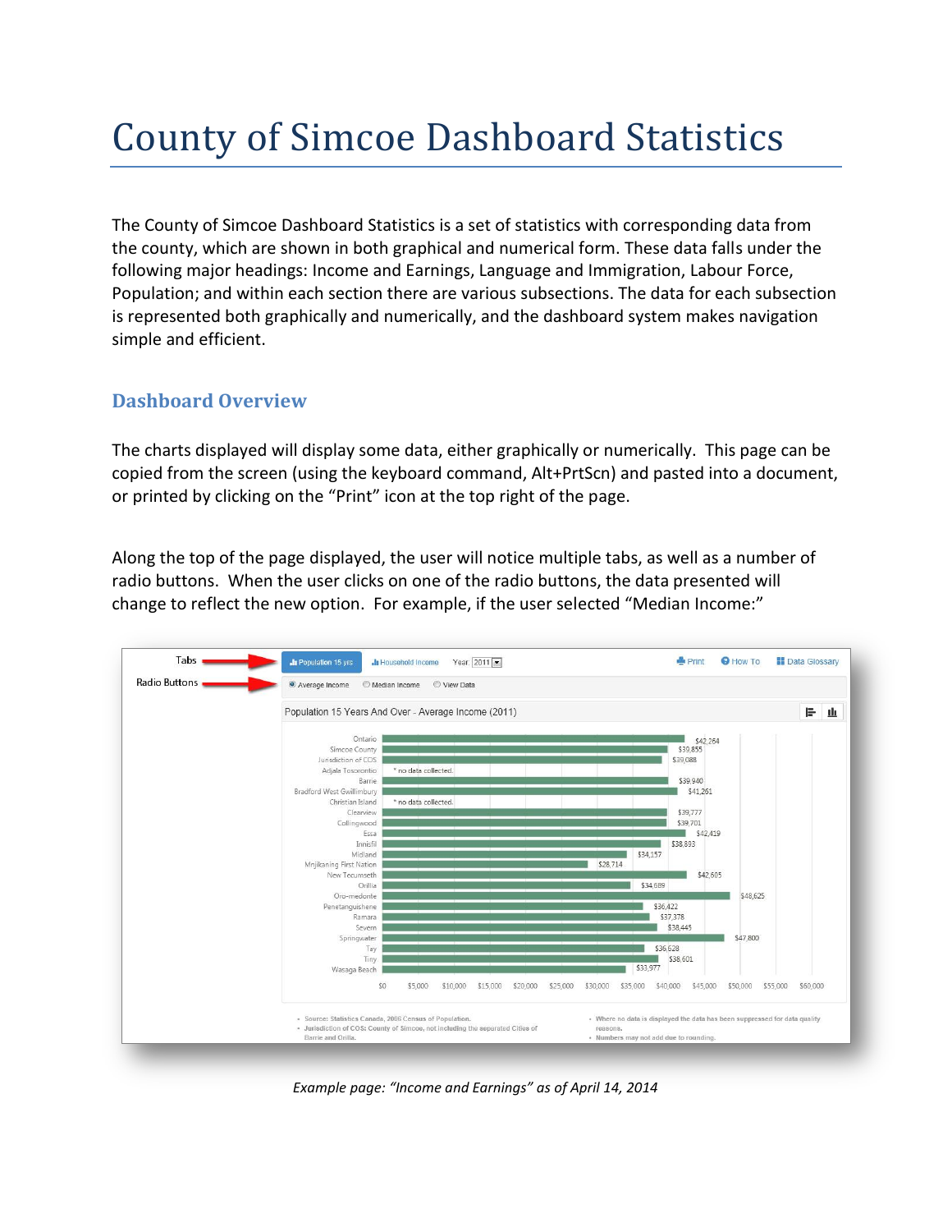## County of Simcoe Dashboard Statistics

The County of Simcoe Dashboard Statistics is a set of statistics with corresponding data from the county, which are shown in both graphical and numerical form. These data falls under the following major headings: Income and Earnings, Language and Immigration, Labour Force, Population; and within each section there are various subsections. The data for each subsection is represented both graphically and numerically, and the dashboard system makes navigation simple and efficient.

## **Dashboard Overview**

The charts displayed will display some data, either graphically or numerically. This page can be copied from the screen (using the keyboard command, Alt+PrtScn) and pasted into a document, or printed by clicking on the "Print" icon at the top right of the page.

Along the top of the page displayed, the user will notice multiple tabs, as well as a number of radio buttons. When the user clicks on one of the radio buttons, the data presented will change to reflect the new option. For example, if the user selected "Median Income:"



*Example page: "Income and Earnings" as of April 14, 2014*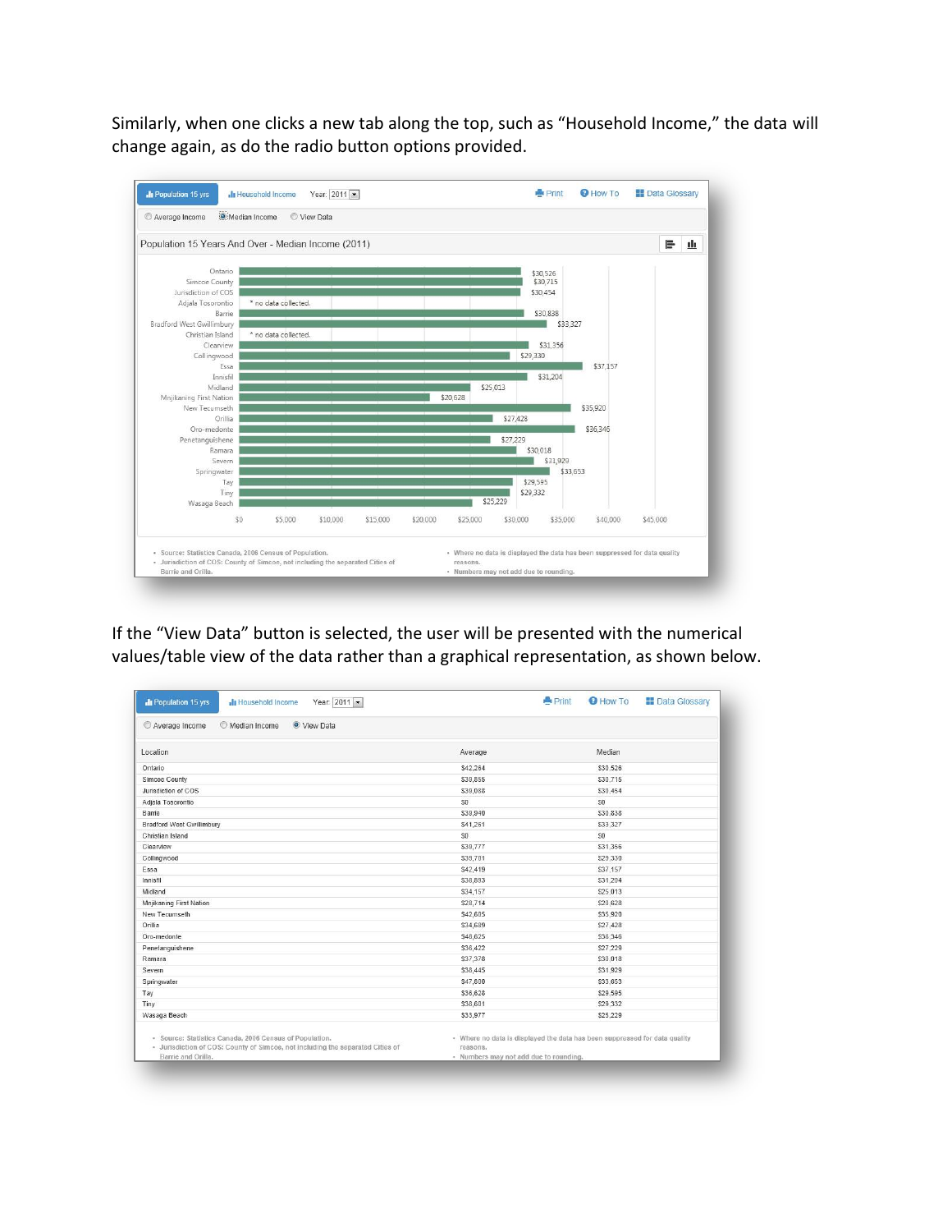Similarly, when one clicks a new tab along the top, such as "Household Income," the data will change again, as do the radio button options provided.



If the "View Data" button is selected, the user will be presented with the numerical values/table view of the data rather than a graphical representation, as shown below.

| <b>In Population 15 yrs</b><br>Year: 2011 -<br>-In Household Income                                                                                             |                                                                                                                                  | <b>Print</b> | <b>O</b> How To | <b>Data Glossary</b> |
|-----------------------------------------------------------------------------------------------------------------------------------------------------------------|----------------------------------------------------------------------------------------------------------------------------------|--------------|-----------------|----------------------|
| Median Income<br>O View Data<br>Average Income                                                                                                                  |                                                                                                                                  |              |                 |                      |
| Location                                                                                                                                                        | Average                                                                                                                          |              | Median          |                      |
| Ontario                                                                                                                                                         | \$42,264                                                                                                                         |              | \$30.526        |                      |
| Simcoe County                                                                                                                                                   | \$39,855                                                                                                                         |              | \$30,715        |                      |
| Jurisdiction of COS                                                                                                                                             | \$39,088                                                                                                                         |              | \$30,454        |                      |
| Adjala Tosorontio                                                                                                                                               | \$0                                                                                                                              |              | \$0             |                      |
| Barrie                                                                                                                                                          | \$39,940                                                                                                                         |              | \$30,838        |                      |
| <b>Bradford West Gwillimbury</b>                                                                                                                                | \$41,261                                                                                                                         |              | \$33,327        |                      |
| Christian Island                                                                                                                                                | \$0                                                                                                                              |              | S <sub>0</sub>  |                      |
| Clearview                                                                                                                                                       | \$39,777                                                                                                                         |              | \$31,356        |                      |
| Collingwood                                                                                                                                                     | \$39,701                                                                                                                         |              | \$29,330        |                      |
| Essa                                                                                                                                                            | \$42,419                                                                                                                         |              | \$37,157        |                      |
| Innisfil                                                                                                                                                        | \$38,893                                                                                                                         |              | \$31.204        |                      |
| Midland                                                                                                                                                         | \$34,157                                                                                                                         |              | \$25.013        |                      |
| Mnjikaning First Nation                                                                                                                                         | \$28,714                                                                                                                         |              | \$20,628        |                      |
| New Tecumseth                                                                                                                                                   | \$42,605                                                                                                                         |              | \$35,920        |                      |
| Orillia                                                                                                                                                         | \$34,689                                                                                                                         |              | \$27,428        |                      |
| Oro-medonte                                                                                                                                                     | \$48,625                                                                                                                         |              | \$36,346        |                      |
| Penetanguishene                                                                                                                                                 | \$36,422                                                                                                                         |              | \$27.229        |                      |
| Ramara                                                                                                                                                          | \$37,378                                                                                                                         |              | \$30,018        |                      |
| Severn                                                                                                                                                          | \$38,445                                                                                                                         |              | \$31.929        |                      |
| Springwater                                                                                                                                                     | \$47,800                                                                                                                         |              | \$33,653        |                      |
| Tay                                                                                                                                                             | \$36,628                                                                                                                         |              | \$29.595        |                      |
| Tiny                                                                                                                                                            | \$38,601                                                                                                                         |              | \$29,332        |                      |
| Wasaga Beach                                                                                                                                                    | \$33,977                                                                                                                         |              | \$25,229        |                      |
| · Source: Statistics Canada, 2006 Census of Population.<br>- Jurisdiction of COS: County of Simcoe, not including the separated Cities of<br>Barrie and Orilla. | • Where no data is displayed the data has been suppressed for data quality<br>reasons.<br>· Numbers may not add due to rounding. |              |                 |                      |